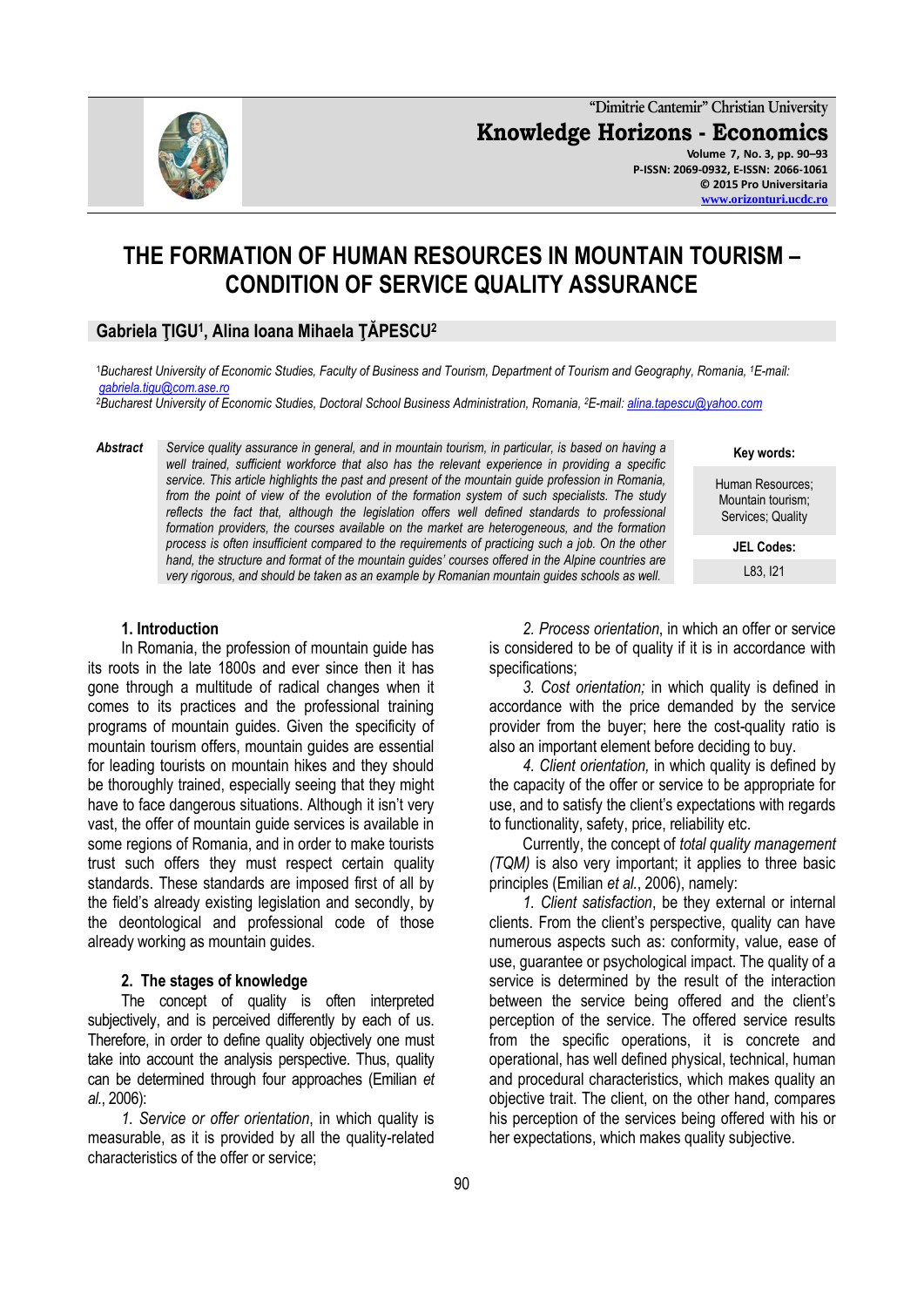**"Dimitrie Cantemir" Christian University Knowledge Horizons - Economics Volume 7, No. 3, pp. 90–93 P-ISSN: 2069-0932, E-ISSN: 2066-1061 © 2015 Pro Universitaria [www.orizonturi.ucdc.ro](http://www.orizonturi.ucdc.ro/)**

# **THE FORMATION OF HUMAN RESOURCES IN MOUNTAIN TOURISM – CONDITION OF SERVICE QUALITY ASSURANCE**

# **Gabriela ŢIGU<sup>1</sup> , Alina Ioana Mihaela ŢĂPESCU<sup>2</sup>**

1**Bucharest University of Economic Studies, Faculty of Business and Tourism, Department of Tourism and Geography, Romania, <sup>1</sup>E-mail:** *[gabriela.tigu@com.ase.ro](mailto:gabriela.tigu@com.ase.ro)*

<sup>2</sup>*Bucharest University of Economic Studies, Doctoral School Business Administration, Romania, <sup>2</sup>E-mail[: alina.tapescu@yahoo.com](mailto:alina.tapescu@yahoo.com)*

*Abstract Service quality assurance in general, and in mountain tourism, in particular, is based on having a*  well trained, sufficient workforce that also has the relevant experience in providing a specific *service. This article highlights the past and present of the mountain guide profession in Romania, from the point of view of the evolution of the formation system of such specialists. The study*  reflects the fact that, although the legislation offers well defined standards to professional formation providers, the courses available on the market are heterogeneous, and the formation *process is often insufficient compared to the requirements of practicing such a job. On the other hand, the structure and format of the mountain guides' courses offered in the Alpine countries are very rigorous, and should be taken as an example by Romanian mountain guides schools as well.*

> *2. Process orientation*, in which an offer or service is considered to be of quality if it is in accordance with specifications;

> *3. Cost orientation;* in which quality is defined in accordance with the price demanded by the service provider from the buyer; here the cost-quality ratio is also an important element before deciding to buy.

> *4. Client orientation,* in which quality is defined by the capacity of the offer or service to be appropriate for use, and to satisfy the client's expectations with regards to functionality, safety, price, reliability etc.

> Currently, the concept of *total quality management (TQM)* is also very important; it applies to three basic principles (Emilian *et al.*, 2006), namely:

> *1. Client satisfaction*, be they external or internal clients. From the client's perspective, quality can have numerous aspects such as: conformity, value, ease of use, guarantee or psychological impact. The quality of a service is determined by the result of the interaction between the service being offered and the client's perception of the service. The offered service results from the specific operations, it is concrete and operational, has well defined physical, technical, human and procedural characteristics, which makes quality an objective trait. The client, on the other hand, compares his perception of the services being offered with his or her expectations, which makes quality subjective.

#### **1. Introduction**

In Romania, the profession of mountain guide has its roots in the late 1800s and ever since then it has gone through a multitude of radical changes when it comes to its practices and the professional training programs of mountain guides. Given the specificity of mountain tourism offers, mountain guides are essential for leading tourists on mountain hikes and they should be thoroughly trained, especially seeing that they might have to face dangerous situations. Although it isn't very vast, the offer of mountain guide services is available in some regions of Romania, and in order to make tourists trust such offers they must respect certain quality standards. These standards are imposed first of all by the field's already existing legislation and secondly, by the deontological and professional code of those already working as mountain guides.

## **2. The stages of knowledge**

The concept of quality is often interpreted subjectively, and is perceived differently by each of us. Therefore, in order to define quality objectively one must take into account the analysis perspective. Thus, quality can be determined through four approaches (Emilian *et al.*, 2006):

*1. Service or offer orientation*, in which quality is measurable, as it is provided by all the quality-related characteristics of the offer or service;



**Key words:**

Human Resources; Mountain tourism; Services; Quality

> **JEL Codes:** L83, I21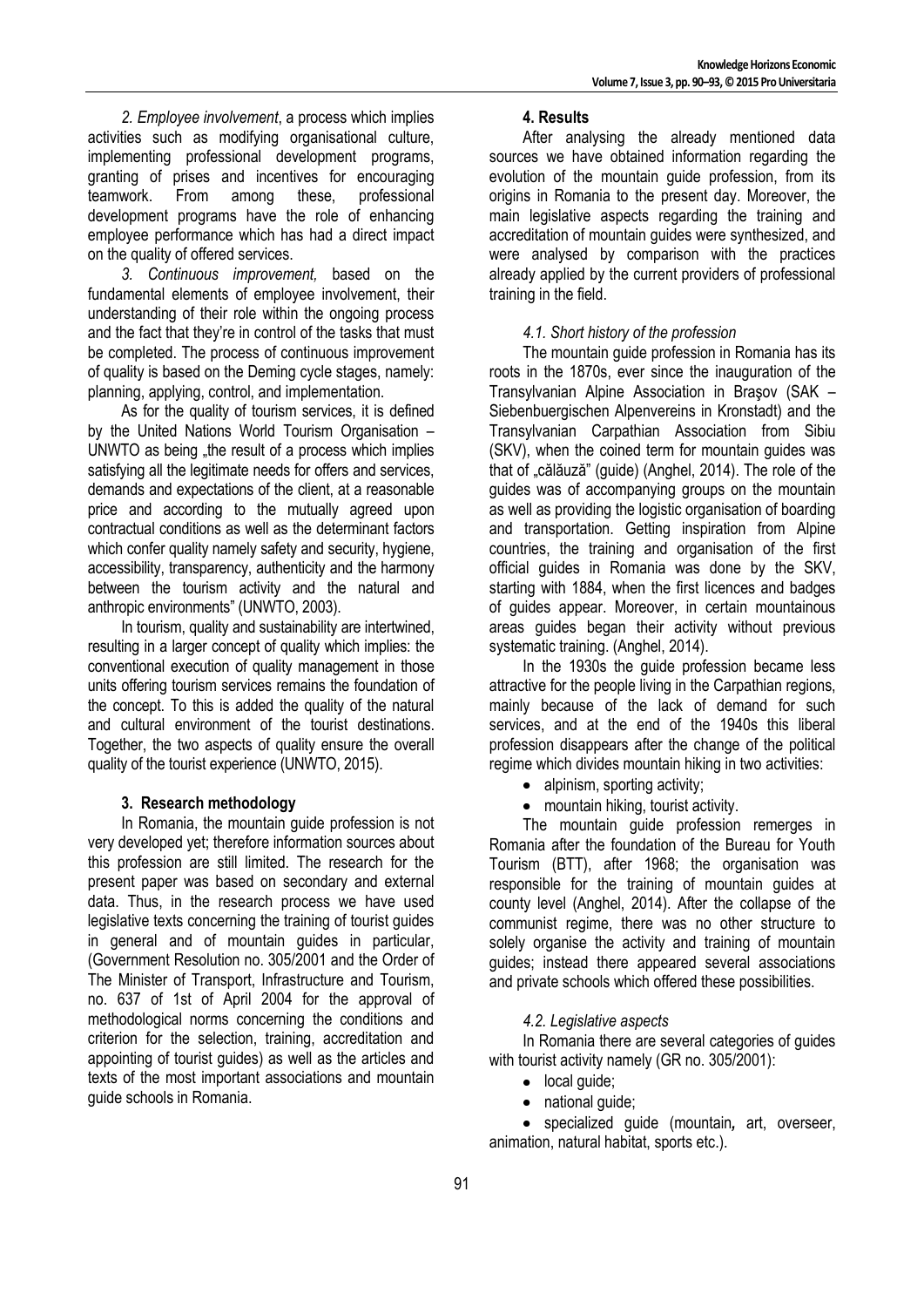*2. Employee involvement*, a process which implies activities such as modifying organisational culture, implementing professional development programs, granting of prises and incentives for encouraging teamwork. From among these, professional development programs have the role of enhancing employee performance which has had a direct impact on the quality of offered services.

*3. Continuous improvement,* based on the fundamental elements of employee involvement, their understanding of their role within the ongoing process and the fact that they're in control of the tasks that must be completed. The process of continuous improvement of quality is based on the Deming cycle stages, namely: planning, applying, control, and implementation.

As for the quality of tourism services, it is defined by the United Nations World Tourism Organisation – UNWTO as being "the result of a process which implies satisfying all the legitimate needs for offers and services, demands and expectations of the client, at a reasonable price and according to the mutually agreed upon contractual conditions as well as the determinant factors which confer quality namely safety and security, hygiene, accessibility, transparency, authenticity and the harmony between the tourism activity and the natural and anthropic environments" (UNWTO, 2003).

In tourism, quality and sustainability are intertwined, resulting in a larger concept of quality which implies: the conventional execution of quality management in those units offering tourism services remains the foundation of the concept. To this is added the quality of the natural and cultural environment of the tourist destinations. Together, the two aspects of quality ensure the overall quality of the tourist experience (UNWTO, 2015).

## **3. Research methodology**

In Romania, the mountain guide profession is not very developed yet; therefore information sources about this profession are still limited. The research for the present paper was based on secondary and external data. Thus, in the research process we have used legislative texts concerning the training of tourist guides in general and of mountain guides in particular, (Government Resolution no. 305/2001 and the Order of The Minister of Transport, Infrastructure and Tourism, no. 637 of 1st of April 2004 for the approval of methodological norms concerning the conditions and criterion for the selection, training, accreditation and appointing of tourist guides) as well as the articles and texts of the most important associations and mountain guide schools in Romania.

#### **4. Results**

After analysing the already mentioned data sources we have obtained information regarding the evolution of the mountain guide profession, from its origins in Romania to the present day. Moreover, the main legislative aspects regarding the training and accreditation of mountain guides were synthesized, and were analysed by comparison with the practices already applied by the current providers of professional training in the field.

## *4.1. Short history of the profession*

The mountain guide profession in Romania has its roots in the 1870s, ever since the inauguration of the Transylvanian Alpine Association in Braşov (SAK – Siebenbuergischen Alpenvereins in Kronstadt) and the Transylvanian Carpathian Association from Sibiu (SKV), when the coined term for mountain guides was that of "călăuză" (quide) (Anghel, 2014). The role of the guides was of accompanying groups on the mountain as well as providing the logistic organisation of boarding and transportation. Getting inspiration from Alpine countries, the training and organisation of the first official guides in Romania was done by the SKV, starting with 1884, when the first licences and badges of guides appear. Moreover, in certain mountainous areas guides began their activity without previous systematic training. (Anghel, 2014).

In the 1930s the guide profession became less attractive for the people living in the Carpathian regions, mainly because of the lack of demand for such services, and at the end of the 1940s this liberal profession disappears after the change of the political regime which divides mountain hiking in two activities:

- alpinism, sporting activity:
- mountain hiking, tourist activity.

The mountain guide profession remerges in Romania after the foundation of the Bureau for Youth Tourism (BTT), after 1968; the organisation was responsible for the training of mountain guides at county level (Anghel, 2014). After the collapse of the communist regime, there was no other structure to solely organise the activity and training of mountain guides; instead there appeared several associations and private schools which offered these possibilities.

## *4.2. Legislative aspects*

In Romania there are several categories of guides with tourist activity namely (GR no. 305/2001):

- local quide;
- national quide;

specialized guide (mountain*,* art, overseer, animation, natural habitat, sports etc.).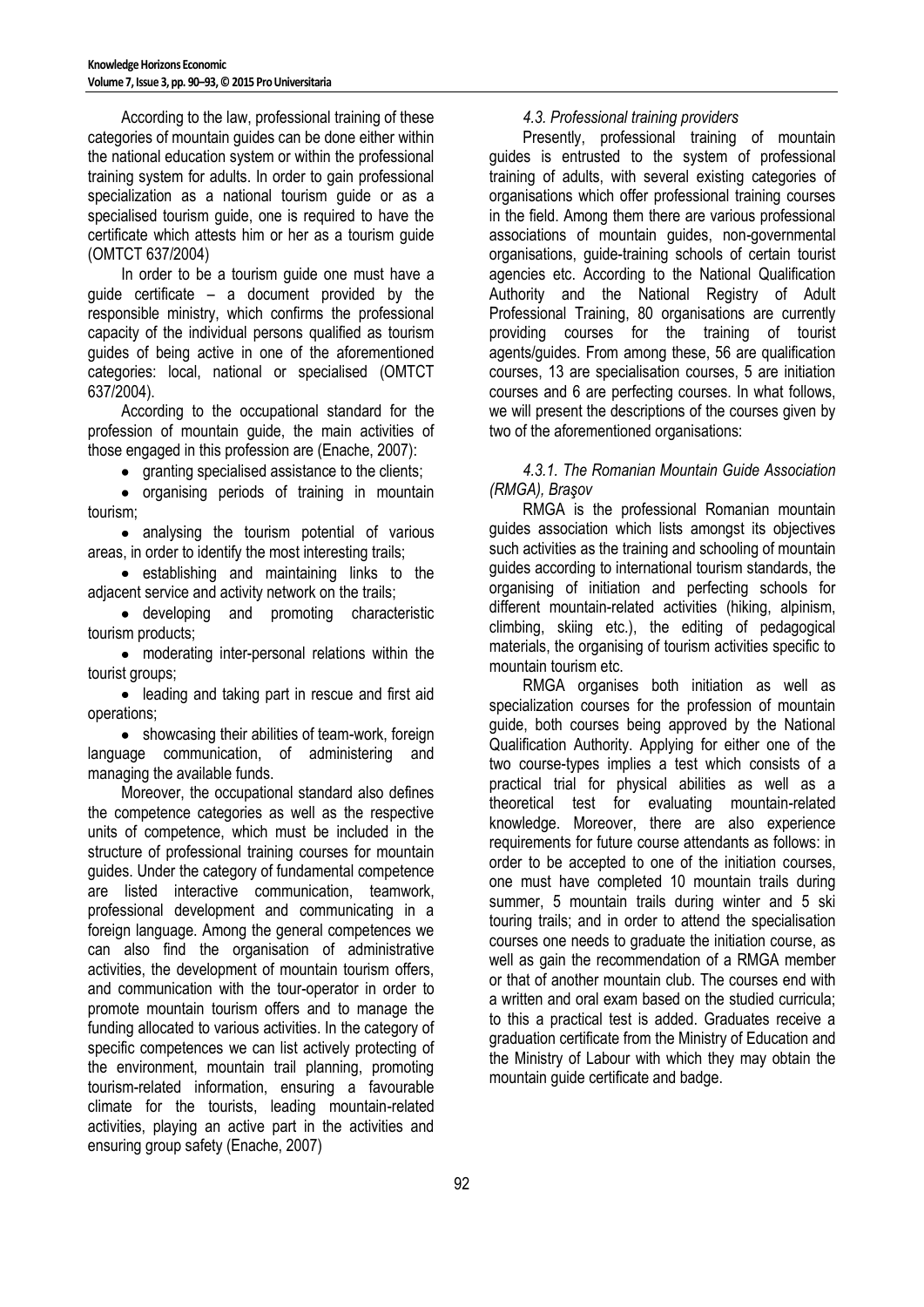According to the law, professional training of these categories of mountain guides can be done either within the national education system or within the professional training system for adults. In order to gain professional specialization as a national tourism guide or as a specialised tourism guide, one is required to have the certificate which attests him or her as a tourism guide (OMTCT 637/2004)

In order to be a tourism guide one must have a guide certificate – a document provided by the responsible ministry, which confirms the professional capacity of the individual persons qualified as tourism guides of being active in one of the aforementioned categories: local, national or specialised (OMTCT 637/2004).

According to the occupational standard for the profession of mountain guide, the main activities of those engaged in this profession are (Enache, 2007):

• granting specialised assistance to the clients;

• organising periods of training in mountain tourism;

• analysing the tourism potential of various areas, in order to identify the most interesting trails;

establishing and maintaining links to the adjacent service and activity network on the trails;

developing and promoting characteristic tourism products;

moderating inter-personal relations within the tourist groups;

• leading and taking part in rescue and first aid operations;

• showcasing their abilities of team-work, foreign language communication, of administering and managing the available funds.

Moreover, the occupational standard also defines the competence categories as well as the respective units of competence, which must be included in the structure of professional training courses for mountain guides. Under the category of fundamental competence are listed interactive communication, teamwork, professional development and communicating in a foreign language. Among the general competences we can also find the organisation of administrative activities, the development of mountain tourism offers, and communication with the tour-operator in order to promote mountain tourism offers and to manage the funding allocated to various activities. In the category of specific competences we can list actively protecting of the environment, mountain trail planning, promoting tourism-related information, ensuring a favourable climate for the tourists, leading mountain-related activities, playing an active part in the activities and ensuring group safety (Enache, 2007)

## *4.3. Professional training providers*

Presently, professional training of mountain guides is entrusted to the system of professional training of adults, with several existing categories of organisations which offer professional training courses in the field. Among them there are various professional associations of mountain guides, non-governmental organisations, guide-training schools of certain tourist agencies etc. According to the National Qualification Authority and the National Registry of Adult Professional Training, 80 organisations are currently providing courses for the training of tourist agents/guides. From among these, 56 are qualification courses, 13 are specialisation courses, 5 are initiation courses and 6 are perfecting courses. In what follows, we will present the descriptions of the courses given by two of the aforementioned organisations:

#### *4.3.1. The Romanian Mountain Guide Association (RMGA), Braşov*

RMGA is the professional Romanian mountain guides association which lists amongst its objectives such activities as the training and schooling of mountain guides according to international tourism standards, the organising of initiation and perfecting schools for different mountain-related activities (hiking, alpinism, climbing, skiing etc.), the editing of pedagogical materials, the organising of tourism activities specific to mountain tourism etc.

RMGA organises both initiation as well as specialization courses for the profession of mountain guide, both courses being approved by the National Qualification Authority. Applying for either one of the two course-types implies a test which consists of a practical trial for physical abilities as well as a theoretical test for evaluating mountain-related knowledge. Moreover, there are also experience requirements for future course attendants as follows: in order to be accepted to one of the initiation courses, one must have completed 10 mountain trails during summer, 5 mountain trails during winter and 5 ski touring trails; and in order to attend the specialisation courses one needs to graduate the initiation course, as well as gain the recommendation of a RMGA member or that of another mountain club. The courses end with a written and oral exam based on the studied curricula; to this a practical test is added. Graduates receive a graduation certificate from the Ministry of Education and the Ministry of Labour with which they may obtain the mountain guide certificate and badge.